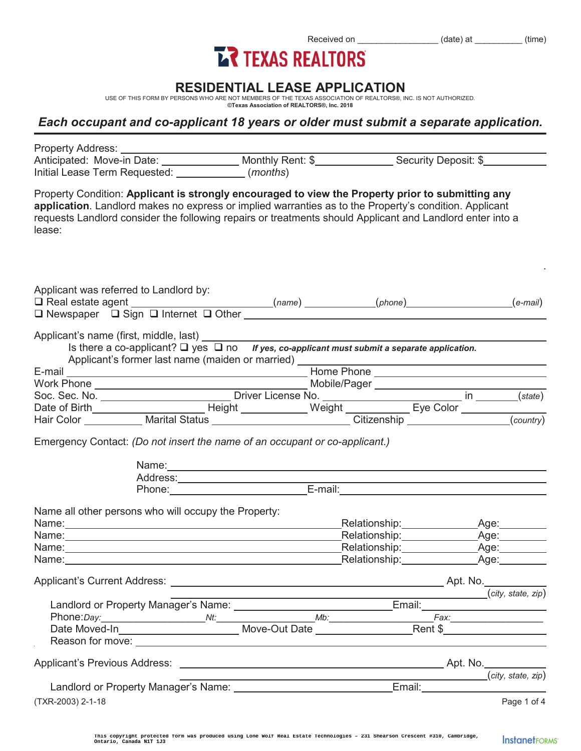# Received on \_\_\_\_\_\_\_\_\_\_\_\_\_\_\_\_\_ (date) at \_\_\_\_\_\_\_\_\_\_ (time)

### **RESIDENTIAL LEASE APPLICATION**

USE OF THIS FORM BY PERSONS WHO ARE NOT MEMBERS OF THE TEXAS ASSOCIATION OF REALTORS®, INC. IS NOT AUTHORIZED. **©Texas Association of REALTORS®, Inc. 2018** 

#### *Each occupant and co-applicant 18 years or older must submit a separate application.*

| Property Condition: Applicant is strongly encouraged to view the Property prior to submitting any<br>application. Landlord makes no express or implied warranties as to the Property's condition. Applicant<br>requests Landlord consider the following repairs or treatments should Applicant and Landlord enter into a<br>lease: |                                                                                                                                                      |                                                           |                    |  |  |
|------------------------------------------------------------------------------------------------------------------------------------------------------------------------------------------------------------------------------------------------------------------------------------------------------------------------------------|------------------------------------------------------------------------------------------------------------------------------------------------------|-----------------------------------------------------------|--------------------|--|--|
| Applicant was referred to Landlord by:<br>□ Real estate agent (e-mail)<br>□ Newspaper □ Sign □ Internet □ Other (name) (phone) (phone) (e-mail)                                                                                                                                                                                    |                                                                                                                                                      |                                                           |                    |  |  |
| Applicant's name (first, middle, last)<br>Is there a co-applicant? $\Box$ yes $\Box$ no <i>If yes, co-applicant must submit a separate application.</i>                                                                                                                                                                            |                                                                                                                                                      |                                                           |                    |  |  |
|                                                                                                                                                                                                                                                                                                                                    |                                                                                                                                                      |                                                           |                    |  |  |
|                                                                                                                                                                                                                                                                                                                                    |                                                                                                                                                      |                                                           |                    |  |  |
|                                                                                                                                                                                                                                                                                                                                    |                                                                                                                                                      |                                                           |                    |  |  |
|                                                                                                                                                                                                                                                                                                                                    |                                                                                                                                                      |                                                           |                    |  |  |
| Emergency Contact: (Do not insert the name of an occupant or co-applicant.)                                                                                                                                                                                                                                                        | Name: 2008. 2009. 2009. 2009. 2009. 2009. 2009. 2009. 2009. 2009. 2009. 2009. 2009. 2009. 2009. 2009. 2009. 20<br>Address:<br>Phone: E-mail: E-mail: |                                                           |                    |  |  |
| Name all other persons who will occupy the Property:                                                                                                                                                                                                                                                                               |                                                                                                                                                      |                                                           |                    |  |  |
| Name: Name:                                                                                                                                                                                                                                                                                                                        |                                                                                                                                                      |                                                           |                    |  |  |
|                                                                                                                                                                                                                                                                                                                                    |                                                                                                                                                      |                                                           |                    |  |  |
| Name: Name: Name: Name: Name: Name: Name: Name: Name: Name: Name: Name: Name: Name: Name: Name: Name: Name: Name: Name: Name: Name: Name: Name: Name: Name: Name: Name: Name: Name: Name: Name: Name: Name: Name: Name: Name:                                                                                                      |                                                                                                                                                      |                                                           |                    |  |  |
|                                                                                                                                                                                                                                                                                                                                    |                                                                                                                                                      |                                                           |                    |  |  |
|                                                                                                                                                                                                                                                                                                                                    |                                                                                                                                                      |                                                           |                    |  |  |
|                                                                                                                                                                                                                                                                                                                                    |                                                                                                                                                      |                                                           | (city, state, zip) |  |  |
|                                                                                                                                                                                                                                                                                                                                    |                                                                                                                                                      |                                                           |                    |  |  |
|                                                                                                                                                                                                                                                                                                                                    |                                                                                                                                                      |                                                           |                    |  |  |
|                                                                                                                                                                                                                                                                                                                                    |                                                                                                                                                      |                                                           |                    |  |  |
|                                                                                                                                                                                                                                                                                                                                    |                                                                                                                                                      |                                                           |                    |  |  |
|                                                                                                                                                                                                                                                                                                                                    |                                                                                                                                                      | <u> 1989 - Johann Barnett, fransk politiker (d. 1989)</u> | (city, state, zip) |  |  |
|                                                                                                                                                                                                                                                                                                                                    |                                                                                                                                                      |                                                           |                    |  |  |
| (TXR-2003) 2-1-18                                                                                                                                                                                                                                                                                                                  |                                                                                                                                                      |                                                           | Page 1 of 4        |  |  |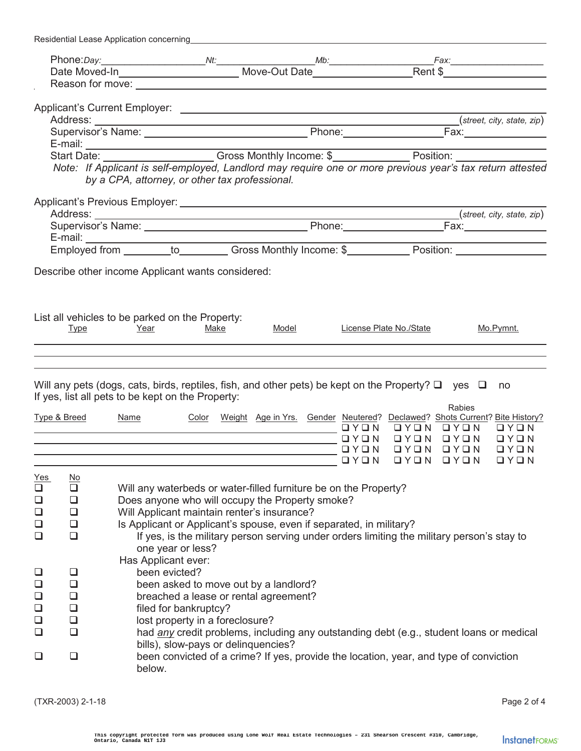|                                                                                                                       |                                                                                                                                                                             | Residential Lease Application concerning                                                                     |             |  |  |                                     |                                                                                                                      |        |                             |
|-----------------------------------------------------------------------------------------------------------------------|-----------------------------------------------------------------------------------------------------------------------------------------------------------------------------|--------------------------------------------------------------------------------------------------------------|-------------|--|--|-------------------------------------|----------------------------------------------------------------------------------------------------------------------|--------|-----------------------------|
|                                                                                                                       |                                                                                                                                                                             |                                                                                                              |             |  |  |                                     |                                                                                                                      |        |                             |
|                                                                                                                       |                                                                                                                                                                             |                                                                                                              |             |  |  |                                     |                                                                                                                      |        |                             |
|                                                                                                                       |                                                                                                                                                                             |                                                                                                              |             |  |  |                                     |                                                                                                                      |        |                             |
|                                                                                                                       |                                                                                                                                                                             |                                                                                                              |             |  |  |                                     |                                                                                                                      |        |                             |
|                                                                                                                       |                                                                                                                                                                             |                                                                                                              |             |  |  |                                     |                                                                                                                      |        |                             |
| Address: <u>(street, city, state, zip)</u><br>Supervisor's Name: <u>Call Allen Community of The Community of Text</u> |                                                                                                                                                                             |                                                                                                              |             |  |  |                                     |                                                                                                                      |        |                             |
| E-mail: Position: Cross Monthly Income: \$Prosition: Position: Position:                                              |                                                                                                                                                                             |                                                                                                              |             |  |  |                                     |                                                                                                                      |        |                             |
|                                                                                                                       |                                                                                                                                                                             |                                                                                                              |             |  |  |                                     |                                                                                                                      |        |                             |
|                                                                                                                       |                                                                                                                                                                             | Note: If Applicant is self-employed, Landlord may require one or more previous year's tax return attested    |             |  |  |                                     |                                                                                                                      |        |                             |
|                                                                                                                       |                                                                                                                                                                             | by a CPA, attorney, or other tax professional.                                                               |             |  |  |                                     |                                                                                                                      |        |                             |
|                                                                                                                       |                                                                                                                                                                             |                                                                                                              |             |  |  |                                     |                                                                                                                      |        |                             |
|                                                                                                                       |                                                                                                                                                                             |                                                                                                              |             |  |  |                                     |                                                                                                                      |        |                             |
|                                                                                                                       |                                                                                                                                                                             |                                                                                                              |             |  |  |                                     |                                                                                                                      |        |                             |
|                                                                                                                       |                                                                                                                                                                             |                                                                                                              |             |  |  |                                     |                                                                                                                      |        |                             |
|                                                                                                                       |                                                                                                                                                                             |                                                                                                              |             |  |  |                                     |                                                                                                                      |        |                             |
|                                                                                                                       |                                                                                                                                                                             |                                                                                                              |             |  |  |                                     |                                                                                                                      |        |                             |
|                                                                                                                       |                                                                                                                                                                             | Describe other income Applicant wants considered:                                                            |             |  |  |                                     |                                                                                                                      |        |                             |
|                                                                                                                       |                                                                                                                                                                             |                                                                                                              |             |  |  |                                     |                                                                                                                      |        |                             |
|                                                                                                                       |                                                                                                                                                                             |                                                                                                              |             |  |  |                                     |                                                                                                                      |        |                             |
|                                                                                                                       |                                                                                                                                                                             | List all vehicles to be parked on the Property:                                                              |             |  |  |                                     |                                                                                                                      |        |                             |
|                                                                                                                       | <b>Type</b>                                                                                                                                                                 | <b>Example 2</b> Year                                                                                        | <b>Make</b> |  |  |                                     | Model License Plate No./State                                                                                        |        | Mo.Pymnt.                   |
|                                                                                                                       |                                                                                                                                                                             |                                                                                                              |             |  |  |                                     |                                                                                                                      |        |                             |
|                                                                                                                       |                                                                                                                                                                             |                                                                                                              |             |  |  |                                     | <u> 1989 - Johann Stein, marwolaethau a bhann an t-Amhair ann an t-Amhair an t-Amhair an t-Amhair an t-Amhair an</u> |        |                             |
|                                                                                                                       |                                                                                                                                                                             |                                                                                                              |             |  |  |                                     |                                                                                                                      |        |                             |
|                                                                                                                       |                                                                                                                                                                             | Will any pets (dogs, cats, birds, reptiles, fish, and other pets) be kept on the Property? $\Box$ yes $\Box$ |             |  |  |                                     |                                                                                                                      |        | no                          |
|                                                                                                                       |                                                                                                                                                                             | If yes, list all pets to be kept on the Property:                                                            |             |  |  |                                     |                                                                                                                      |        |                             |
|                                                                                                                       |                                                                                                                                                                             |                                                                                                              |             |  |  |                                     |                                                                                                                      | Rabies |                             |
|                                                                                                                       |                                                                                                                                                                             | Type & Breed Name Color Weight Age in Yrs. Gender Neutered? Declawed? Shots Current? Bite History?           |             |  |  |                                     |                                                                                                                      |        |                             |
|                                                                                                                       |                                                                                                                                                                             |                                                                                                              |             |  |  |                                     | NOYO NOYO NOYO NO MARE DA LA MARADIA NA MARA DI SANGA A MARA DI SANGGA A MARA DA LA MARA DA LA MARA DA LA MARA       |        | OYON OYON OYON OYON<br>QYQN |
|                                                                                                                       |                                                                                                                                                                             |                                                                                                              |             |  |  | $\Box$ $\Upsilon$ $\Box$ $\Upsilon$ | OYON OYON                                                                                                            |        | $\Box Y \Box N$             |
|                                                                                                                       |                                                                                                                                                                             |                                                                                                              |             |  |  |                                     | OYON OYON OYON                                                                                                       |        | $\Box$ math> Y \Box N       |
|                                                                                                                       | <u>No</u>                                                                                                                                                                   |                                                                                                              |             |  |  |                                     |                                                                                                                      |        |                             |
| <u>Yes</u><br>$\Box$                                                                                                  | $\Box$                                                                                                                                                                      | Will any waterbeds or water-filled furniture be on the Property?                                             |             |  |  |                                     |                                                                                                                      |        |                             |
| $\Box$                                                                                                                | $\Box$                                                                                                                                                                      | Does anyone who will occupy the Property smoke?                                                              |             |  |  |                                     |                                                                                                                      |        |                             |
| $\Box$                                                                                                                | $\Box$                                                                                                                                                                      | Will Applicant maintain renter's insurance?                                                                  |             |  |  |                                     |                                                                                                                      |        |                             |
| $\Box$                                                                                                                | $\Box$                                                                                                                                                                      |                                                                                                              |             |  |  |                                     |                                                                                                                      |        |                             |
| $\Box$                                                                                                                | Is Applicant or Applicant's spouse, even if separated, in military?<br>$\Box$<br>If yes, is the military person serving under orders limiting the military person's stay to |                                                                                                              |             |  |  |                                     |                                                                                                                      |        |                             |
|                                                                                                                       |                                                                                                                                                                             | one year or less?                                                                                            |             |  |  |                                     |                                                                                                                      |        |                             |
|                                                                                                                       |                                                                                                                                                                             | Has Applicant ever:                                                                                          |             |  |  |                                     |                                                                                                                      |        |                             |
| $\Box$                                                                                                                | $\Box$                                                                                                                                                                      | been evicted?                                                                                                |             |  |  |                                     |                                                                                                                      |        |                             |
| $\Box$                                                                                                                | $\Box$                                                                                                                                                                      | been asked to move out by a landlord?                                                                        |             |  |  |                                     |                                                                                                                      |        |                             |
| $\Box$                                                                                                                | $\Box$                                                                                                                                                                      | breached a lease or rental agreement?                                                                        |             |  |  |                                     |                                                                                                                      |        |                             |
| $\Box$                                                                                                                | $\Box$                                                                                                                                                                      | filed for bankruptcy?                                                                                        |             |  |  |                                     |                                                                                                                      |        |                             |
| $\Box$                                                                                                                | $\Box$                                                                                                                                                                      | lost property in a foreclosure?                                                                              |             |  |  |                                     |                                                                                                                      |        |                             |
| $\Box$                                                                                                                | $\Box$                                                                                                                                                                      | had any credit problems, including any outstanding debt (e.g., student loans or medical                      |             |  |  |                                     |                                                                                                                      |        |                             |
|                                                                                                                       |                                                                                                                                                                             | bills), slow-pays or delinquencies?                                                                          |             |  |  |                                     |                                                                                                                      |        |                             |
| been convicted of a crime? If yes, provide the location, year, and type of conviction<br>❏<br>❏                       |                                                                                                                                                                             |                                                                                                              |             |  |  |                                     |                                                                                                                      |        |                             |
|                                                                                                                       |                                                                                                                                                                             | below.                                                                                                       |             |  |  |                                     |                                                                                                                      |        |                             |
|                                                                                                                       |                                                                                                                                                                             |                                                                                                              |             |  |  |                                     |                                                                                                                      |        |                             |

(TXR-2003) 2-1-18 Page 2 of 4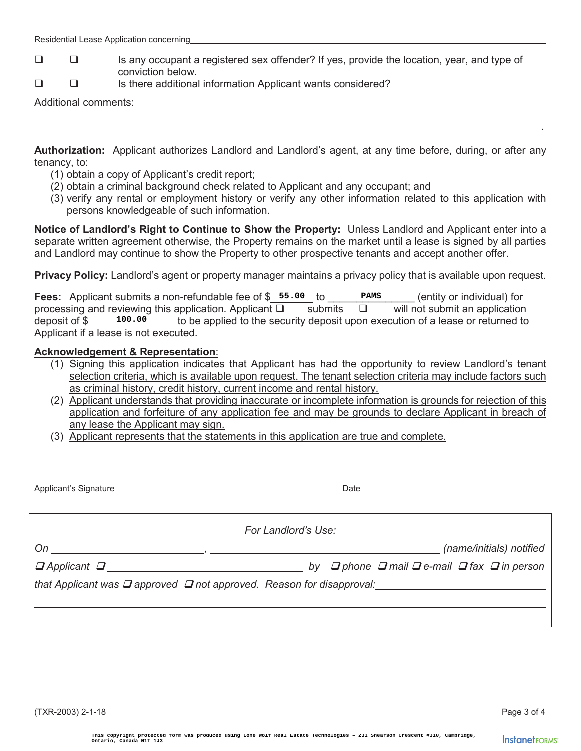- Is any occupant a registered sex offender? If yes, provide the location, year, and type of conviction below.
- Is there additional information Applicant wants considered?

Additional comments:

**Authorization:** Applicant authorizes Landlord and Landlord's agent, at any time before, during, or after any tenancy, to:

. A construction of the construction of the construction of the construction of the construction of the construction

- (1) obtain a copy of Applicant's credit report;
- (2) obtain a criminal background check related to Applicant and any occupant; and
- (3) verify any rental or employment history or verify any other information related to this application with persons knowledgeable of such information.

**Notice of Landlord's Right to Continue to Show the Property:** Unless Landlord and Applicant enter into a separate written agreement otherwise, the Property remains on the market until a lease is signed by all parties and Landlord may continue to show the Property to other prospective tenants and accept another offer.

**Privacy Policy:** Landlord's agent or property manager maintains a privacy policy that is available upon request.

**Fees:** Applicant submits a non-refundable fee of \$\_55.00 to \_\_\_\_\_\_\_\_\_\_\_\_\_\_\_\_\_\_\_\_ (entity or individual) for processing and reviewing this application. Applicant  $\Box$  submits  $\Box$  will not submit an application deposit of  $\sin \theta$  to be applied to the security deposit upon execution of a lease or returned to Applicant if a lease is not executed. **Canada Submits an on-ferndable fee of § 55.000 to Phamman and reviewing this application. Applicant D. Submits D. 10.00 to be applied to the security deposit upon example 18. Representation: the security deposit upon exam** 

#### **Acknowledgement & Representation**:

- (1) Signing this application indicates that Applicant has had the opportunity to review Landlord's tenant selection criteria, which is available upon request. The tenant selection criteria may include factors such as criminal history, credit history, current income and rental history.
- (2) Applicant understands that providing inaccurate or incomplete information is grounds for rejection of this application and forfeiture of any application fee and may be grounds to declare Applicant in breach of any lease the Applicant may sign.
- (3) Applicant represents that the statements in this application are true and complete.

 $\overline{a}$ Applicant's Signature Date Applicant's Signature Date Date Date Date Date

*For Landlord's Use:* 

*On , (name/initials) notified* 

*Applicant*  $\Box$  *by*  $\Box$  phone  $\Box$  mail  $\Box$  fax  $\Box$  in person *p* Applicant  $\Box$  *n*  $\Box$  *in person* 

*that Applicant was*  $\Box$  *approved*  $\Box$  *not approved. Reason for disapproval:*